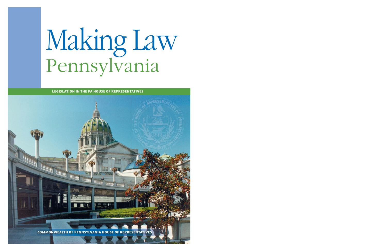## Making Law Pennsylvania

**LEGISLATION IN THE PA HOUSE OF REPRESENTATIVES**

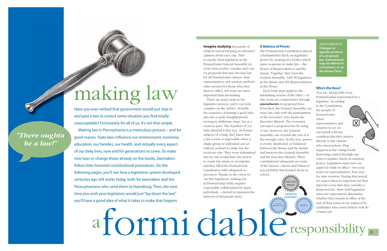Have you ever wished that government would just step in and pass a law to correct some situation you find totally unacceptable? Fortunately for all of us, it's not that simple. Making law in Pennsylvania is a meticulous process – and for good reason. State laws influence our environment, economy, education, our families, our health, and virtually every aspect of our daily lives, now and for generations to come. To make new laws or change those already on the books, lawmakers follow time-honored constitutional procedures. On the following pages, you'll see how a legislative system developed centuries ago still works today, both for lawmakers and the Pennsylvanians who send them to Harrisburg. Then, the next time you wish your legislators would just "lay down the law," you'll have a good idea of what it takes to make that happen.

*"There oughta be a law!"*

# a formidable responsibility .

## making law

#### **Imagine studying** thousands of subjects and developing an informed opinion about each one. That is exactly what legislators in the Pennsylvania General Assembly do every term as they consider and vote on proposals that may become law for all Pennsylvania citizens. State representatives and senators perform other services for those who elect them to office, but none are more important than lawmaking.

 There are many steps in the legislative process, and it can look complex on the surface. Actually, the sequence of turning a good idea into law is quite straightforward, moving in deliberate steps, but at a cautious pace. The founders of our state planned it that way. As former subjects of a king, they knew that a fair society is impossible when a single group or individual can act without restraint to make law for everyone else. They were determined that no one would have the power to create law alone or on impulse and they filled the Pennsylvania Constitution with safeguards to prevent it. Thanks to the vision of our first legislators, making law in Pennsylvania today requires responsible collaboration by many individuals – elected to represent the interests of thousands more.

**AMENDMENTS Changes to specific portions of a proposed law. Amendments may be offered in committees or on the House Floor.**

#### **A Balance of Power**

The Pennsylvania Constitution placed a fundamental check on legislative power by creating two bodies which must cooperate to make law – the House of Representatives and the Senate. Together, they form the General Assembly, with 50 legislators in the Senate and 203 Representatives in the House.

 Each body must approve the lawmaking actions of the other – or else work out compromises through *amendments* to proposed laws. Even then, the General Assembly can enact law only with the participation of the Governor, who heads the Executive Branch. The Governor can reject a proposed law by using a veto; however, the General Assembly can override the veto if it has enough votes. In this way, power is evenly distributed, or balanced, between the House and the Senate and between the General Assembly and the Executive Branch. These constitutional safeguards are some of the famous "checks and balances" you probably first learned about in school.

#### **Who's the Boss?**

You are. Along with every Pennsylvanian represented by a legislator. According to the Constitution, the people of Pennsylvania select representatives and senators to act on our behalf with the condition that they answer directly to the citizens who elected them. That happens in the voting booth. Exercising control through our votes is another check on runaway power. Legislators must earn our approval while in office – two-year terms for representatives, four year for state senators. During that period, we expect them to represent our best interests every time they consider a proposed law. How well legislators meet our expectations determines whether they remain in office at the end of their terms or are replaced by candidates who voters believe will do

HOUSE OF

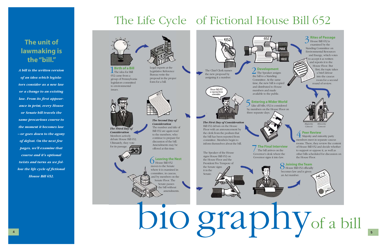*A bill is the written version of an idea which legislators consider as a new law or a change to an existing law. From its first appearance in print, every House or Senate bill travels the same precarious course to the moment it becomes law – or goes down to the agony of defeat. On the next few pages, we'll examine that course and it's optional twists and turns as we follow the life cycle of fictional House Bill 652.*



 $1$  Bi**rth of a Bil**l<br>The idea for Bill **Birth of a Bill** 652 came from a group of Pennsylvania legislators committed to environmental issues.

### **The unit of lawmaking is the "bill."**

#### **3** Rites of Passa<br>House Bill 652 is **2** Rites of Passage

#### **Leaving the Nest**

6 House Bill 652 moves to the Senate where it is examined in committee, in caucus, and by members on the Senate Floor. The Senate passes the bill without amendments.



## The Life Cycle of Fictional House Bill 652

Legislative Reference Bureau write the proposal in the proper form for a bill.



*The Third Day of Consideration* Members actively debate House Bill 652. Ultimately, they vote for its passage.

#### **7 The Final Interview**<br>The bill arrives on the The bill arrives on the Governor's desk where the Governor signs it into law.

# bio graphy<sub>of a bill</sub>

*The Second Day of Consideration*The number and title of Bill 652 are again read to the members, who continue to prepare for discussion of the bill. Amendments may be offered at this time.

**4 Peer Review**<br>**1** Majority and minority party members meet in separate caucus rooms. There, they review the content of House Bill 652 and decide whether to support or oppose it, as well as other bills scheduled for discussion on the House Floor.

The Speaker of the House signs House Bill 652 on the House Floor and the President Pro Tempore of

the Senate signs it in the Senate.

*The First Day of Consideration* Bill 652 debuts on the House Floor with an announcement by the clerk from the podium that the bill has been reported from committee. Members begin to inform themselves about the bill.



8**Joining the Team** House Bill 652 officially becomes law and is given an Act number.





available to the public. **Entering a Wider World** Like all bills, 652 is considered by members on the House Floor on



examined by the Standing Committee on Environmental Resources and Energy, which votes to accept it as written and reports it to the House Floor. But first, the topic takes a brief detour into the caucus room for a second round of review.



**Peer Review**

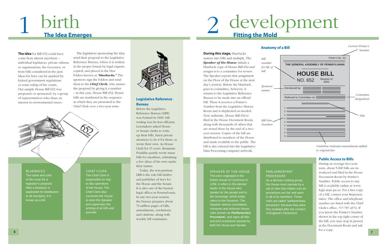**The idea** for Bill 652 could have come from almost anywhere – individual legislators, private citizens or organizations, the Governor, or from bills considered in the past. Ideas for laws can be sparked by federal government regulations or some ruling of the courts. Our sample House Bill 652 was proposed, or sponsored, by a group of representatives who share an interest in environmental issues.

 The legislators sponsoring the idea send their proposal to the Legislative Reference Bureau, where it is written in the proper format by legal experts, copied, and placed in the blue folders known as *"bluebacks."* The sponsors sign the folders and send them to the *Chief Clerk,* who names the proposal by giving it a number – in this case, House Bill 652. House bills are numbered in the sequence in which they are presented to the Chief Clerk over a two-year term.



#### **BLUEBACKS**

The name and color of the cover for a legislator's proposal. After a blueback is duplicated for distribution to all members, it is known as a bill.

#### CHIEF CLERK

The Chief Clerk is responsible for dayto-day operations of the House. The Chief Clerk also convenes the House to elect the Speaker and supervises the printing of all bills and journals.



### 1birth **The Idea Emerges**

#### **Legislative Reference Bureau**

Before the Legislative Reference Bureau (LRB) was formed in 1909, billwriting was far less efficient. Lawmakers asked House or Senate clerks to write up their bills, hired private attorneys to do it for them, or wrote their own. As House Clerk for 15 years, Benjamin Franklin quietly wrote many bills for members, submitting a few ideas of his own under their names.

 Today, the non-partisan LRB is the sole bill-drafter and publisher of laws for the House and the Senate. It is also one of the busiest legal offices in Pennsylvania. In any two-year session, the bureau prepares about 70 million pages of bills, amendments, resolutions, and citations, along with weekly bill summaries.

## 2 development

#### **Anatomy of a**

#### SPEAKER OF THE HOUSE

This term originated in the British House of Commons in 1258. It refers to the elected leader in the House who speaks for the people and to the Sovereign, which today refers to the Governor. The Speaker selects committees, interprets and enforces House rules (known as *Parliamentary Procedure*), and signs all bills and joint resolutions passed by both the House and Senate.

#### PARLIAMENTARY PROCEDURE

As a decision-making group, the House must operate by a set of rules that makes sure its procedures are fair and open to all of its members. These rules are called "parliamentary procedure" because they were first modeled after the conduct

of England's Parliament.

**During this stage,** bluebacks mature into bills and multiply. The *Speaker of the House* initials a blueback copy of House Bill 652 and assigns it to a committee for review. The Speaker reports that assignment on the Floor of the House at the next day's session. Before the blueback goes to committee, however, it returns to the Legislative Reference Bureau to be made into an official bill. There it receives a Printer's Number from the Legislative History Room and is duplicated as needed. Now authentic, House Bill 652 is filed in the House Document Room, along with thousands of others that are stored there by the end of a twoyear session. Copies of the bill are distributed to members of the House and made available to the public. The bill is also entered into the Legislative Data Processing computer network.

#### **Public Access to Bills**

During an average two-year term, about 5,000 bills are introduced and filed in the House Document Room by Printer's Number. Public access to any bill is available online at www. legis.state.pa.us. For a free copy of a bill, contact your Representative. The office and telephone number are listed with the Chief Clerk's office, 717-787-2372. If you know the Printer's Number shown in the top right corner of the bill, you may stop in person at the Document Room and ask for a copy.

| Bill                                               | Current Printer's<br><b>Number</b> |
|----------------------------------------------------|------------------------------------|
| Printer's No. 111                                  |                                    |
| THE GENERAL ASSEMBLY OF PENNSYLVANIA               |                                    |
| <b>HOUSE BILL</b><br>Session of<br>NO. 652<br>2003 |                                    |
| Introduced by:                                     | Committee                          |
| Referred to Committee on:<br>1.<br>2.              | Assignment                         |
| 3.<br>4.<br>5.<br>6.                               | Title                              |
| $\overline{7}$ .<br>8.<br>9.                       |                                    |



*Underline indicates amendments added to original law*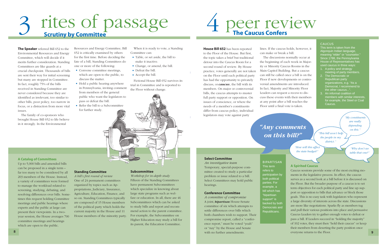

#### **CAUCUS**

## rites of passage

**The Speaker** referred Bill 652 to the Environmental Resources and Energy Committee, which will decide if it merits further consideration. Standing Committees are like guards at a crucial checkpoint. Thousands of bills are sent their way for initial screening but many are stopped in Committee. In fact, roughly 75% of the bills received in Standing Committee are never considered because they are identified as irrelevant, too similar to other bills, poor policy, too narrow in focus, or a distraction from more vital issues.

- Convene committee meetings, which are open to the public, to discuss the matter.
- Hold a public hearing anywhere in Pennsylvania, inviting comment from members of the general public who want the legislators to pass or defeat the bill.
- Refer the bill to a Subcommittee for further study.

 The family of co-sponsors who brought House Bill 652 to life believe in it strongly. In the Environmental

Resources and Energy Committee, Bill 652 is critically examined by others for the first time. Before deciding the fate of a bill, Standing Committees do one or more of the following:

#### **A Catalog of Committees**

- Table, or set aside, the bill to make it inactive.
- Change, or amend, the bill.
- Defeat the bill.
- Accept the bill.

Up to 5,000 bills and amended bills can be proposed in a single term – far too many to be considered by all 203 members of the House. Instead, a variety of committees were formed to manage the workload related to screening, studying, debating, and resolving differences over bills. Sometimes this request holding Committee meetings and public hearings where experts and the public at large can present their viewpoints. In a twoyear session, the House averages 700 committee meetings and hearings which are open to the public.

#### **Standing Committee**

*A bill's first round of review* One of 24 permanent committees organized by topics such as Appropriations, Judiciary, Insurance, Agriculture, Education, Finance, and so on. Standing Committees typically are composed of 15 House members of the political party which holds the current majority in the House and 11 House members of the minority party.

#### **Subcommittee**

*Workshop for in-depth study* Fifteen of the Standing Committees have permanent Subcommittees which specialize in knowing about large state programs such as welfare or education. In all, there are 46 Subcommittees which can be asked to study bills and report and recommend action to the parent committee. For example, the Subcommittee on Higher Education may study a bill for its parent, the Education Committee.

 When it is ready to vote, a Standing Committee can:

 Fictional House Bill 652 survives its trial in Committee and is reported to the Floor without change.

This term is taken from the Algonquin Indian language, meaning "elder" or "counselor." Since 1788, the Pennsylvania House of Representatives has used caucus in three ways: 1. A policy and strategy

- meeting of party members. 2. The Democratic or
- Republican party organizations, e.g. "As a Democrat, I recommend to the other caucus...
- 3. An informal coalition of members with similar interests, for example, the Steel or Coal Caucus.

#### **Select Committee**

*An investigative team* Temporary, special-purpose committee created to study a particular problem or issue related to a bill. Select Committees may hold public hearings.

#### **Conference Committee**

*A committee of compromise* A joint, *bipartisan* House-Senate committee of six which attempts to settle differences over bills which both chambers wish to support. Their compromise report, called a "conference report," must be voted "yeah" or "nay" by the House and Senate with no further amendments.

BIPARTISANThis term refers to participation by both political parties. For example, a bill which has "bipartisan support" is backed by both Democrats and

Republicans.

#### **A Spirited Caucus**

Caucus sessions provide some of the most exciting moments in the legislative process. In effect, the caucus serves as a second look at a bill before it is discussed on the Floor. But the broader purpose of a caucus is to set term objectives for each political party and line up support or opposition to bills that advance or block those goals. This is no easy task with legislators who represent a large diversity of interests across the state. Discussions are more like negotiations. Sparks fly as members tug and pull their various positions into place and persuasive Caucus Leaders try to gather enough votes to defeat or pass a bill. If Leaders succeed in "holding the majority" of 102 votes, they must then "hold their caucus" or keep their members from deserting the party position once everyone returns to the Floor. **9**

### 4peer review **The Caucus Confers**

lines. If the caucus holds, however, it can make or break a bill.

 The discussions normally occur at the beginning of each week in Majority or Minority Caucus Rooms in the Main Capitol Building. But a caucus can still be called once a bill is on the Floor if new developments or controversial amendments are introduced. In fact, Majority and Minority Floor Leaders can request a recess to discuss these events with their members at any point after a bill reaches the Floor until a final vote is taken.

### *"Any comments on this bill?"*

*"How will this affect the state budget?"*

*"This bill won't help the people in my district."*

> *"Why don't we table that one?"*

*"My constituents are really depending on this."*

**House Bill 652** has been reported to the Floor of the House. But first, the topic takes a brief but traditional detour into the Caucus Room for a second round of review. By House practice, votes generally are not taken on the Floor until each political party has had the opportunity to privately discuss, or *caucus*, the bill with its members. On major or controversial bills, the caucus attempts to muster full party support or opposition. On issues of conscience, or where the needs of a member's constituents differ from caucus policy, individual legislators may vote against party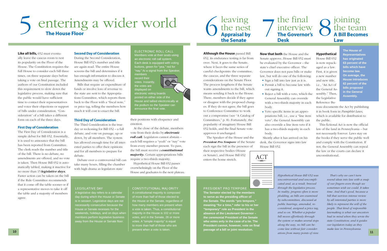## 5 entering a wider world **The House Floor**

**Like all bills,** 652 must eventually leave the caucus room to test its popularity on the Floor of the House. The Constitution requires the full House to consider each bill three times, on three separate days before taking a vote on final passage. The authors of our Constitution included this requirement to slow down the legislative process, making sure that the public would have sufficient time to contact their representatives and voice their objections or support of bills under consideration. "Consideration" of a bill takes a different form on each of the three days.

#### **First Day of Consideration**

The First Day of Consideration is a simple debut for Bill 652. Essentially, it is used to announce that the bill has been reported from Committee. The clerk reads the number and title of the bill. There is no debate, no amendments are offered, and no vote is taken. Then House Bill 652 is automatically tabled, making it inactive for no more than 15 *legislative days.* Faster action can be taken on the bill if the Rule Committee recommends that it come off the table sooner or if a representative moves to take it off the table and a majority of members agree.

#### **Second Day of Consideration**

During the Second Consideration, House Bill 652's number and title are again read. The entire House screens the bill and determines if it has enough information to discuss it. Amendments may be offered.

 Bills that require an expenditure of funds or involve loss of revenue to the state are sent to the Appropriations Committee, which reports them back to the Floor with a "fiscal note," or price tag, telling the members how much it will cost to enact the bill.

#### **Third Day of Consideration**

The Third Consideration is the true day or reckoning for Bill 652 – a full debate, and vote on passage, up or down, by all members. The system has allowed enough time for all interested parties to offer their opinions and for all members to prepare for debate.

 Debate over a controversial bill can take many hours, filling the chamber with high drama as legislators state

#### LEGISLATIVE DAY

A legislative day refers to a calendar day during which the House or Senate is in session. Legislative days are not necessarily consecutive because the House or Senate recesses for the weekends, holidays, and on days when members perform legislative business away from the House or Senate floor.

#### CONSTITUTIONAL MAJORITY

• Reject a bill with a veto, which the General Assembly can override with a two-thirds majority in each

A constitutional majority is composed of more than half of those elected to the House or the Senate, regardless of how many members are present when a vote is taken. Thus, a constitutional majority in the House is 102 or more votes, and in the Senate, 26 or more votes. A "simple majority" is equal to more than half of those who are present when a vote is taken.

their positions with eloquence and emotion.

 At the close of the debate, members vote from their desks by *electronic roll call.* Legislators cannot abstain – each bill requires a "yeah" or "nay" vote from every member present. To pass, the bill must receive a *constitutional majority.* Certain appropriations bills require a two-thirds majority.

 Hypothetical House Bill 652 passes overwhelmingly on the Floor of the House and graduates to the next plateau.

## leaving<br>the nest<br>**Appraisal by the Senate**

#### ELECTRONIC ROLL CALL

### joining<br>the team **A Bill Becomes Law**

Members vote at their seats using an electronic roll call system. Each desk is equipped with voting buttons, green for "yea," red for "nay." At a signal from the Speaker, members

record their votes. Instantly, the votes are displayed on electronic voting boards posted on either side of the House and tallied electronically at the podium so the Speaker can announce the final vote.

#### **Although the House** passed Bill

652, its endurance testing is far from over. Next, it goes to the Senate, where it faces the same series of careful checkpoints: the committee, the caucus, and the three separate considerations on the Senate Floor. The process lengthens if the Senate wants amendments to the bill, which means sending it back to the House. There, members decide if they agree or disagree with the proposed changes. If they do not agree, the bill goes to Conference Committee to work out a compromise (see "A Catalog of Committees," p. 8). Fortunately, the popularity of imaginary House Bill 652 holds, and the final Senate vote approves it unchanged.

 The Speaker of the House and the *President Pro Tempore* of the Senate each sign the bill in the presence of their respective bodies (House or Senate), and House Bill 652 enters the home stretch.

**Now that both** the House and the Senate approve, House Bill 652 must be evaluated by the Governor – the state's chief executive officer. The Governor does not pass bills or make law, but will do one of the following: • Sign a bill into law just as it is. Permit a bill to become law with-

- 
- out signing it.
- body.
- Veto specific items in an approbody.

priations bill, i.e., use a "line item veto"; the General Assembly can also override a line item veto if it has a two-thirds majority in each

Shortly after it has arrived on his desk, the Governor signs into law House Bill 652.

#### **Hypothetical**

House Bill 652 is now repackaged as a law. First, it is given a new number and new title, i.e., "An Act of the General Assembly." Then, the Legislative Reference Bu-

reau documents the Act by publishing it in book form in *Pamphlet Laws*, which is available for distribution to the public.

 This fictional Act is now the official law of the land in Pennsylvania – but not necessarily forever. Laws stay on the books if they serve the public well and comply with the Constitution. If not, the General Assembly can repeal the law or the courts can declare it unconstitutional.

**The House of Representatives has originated 63 percent of the bills which have become law. On average, the House introduces 62 percent of the bills proposed in the General Assembly.**

PRESIDENT PRO TEMPORE**The Senator elected by the members to serve as the presiding of ficer of the Senate. The words "pro tempore," meaning "for a time," refer to his or her "temporary" role as President in the absence of the Lieutenant Governor – the ceremonial President of the Senate who votes only in the case of a tie. The President cannot, however, vote on final passage of a bill or joint resolution.**

#### the final interview **The Governor's Desk**

*Hypothetical House Bill 652 was uncontroversial and uncomplicated and, as a result, breezed through the legislative process. In reality, progress often is more plodding, as bills are examined by subcommittees, discussed at public hearings, amended, reconsidered, assigned a price tag, and so on. Whether a popular bill moves effortlessly through the system or makes several stops along the way, no bill can become law without fair considerations from many points of view.* 

 *That's why we can't turn sound ideas into law with a snap of our fingers–even though we sometimes wish we could. It takes time. And that's good, because a bill that survives intense review by all interested parties is more likely to represent the will of the people. That kind of responsible lawmaking is what our ancestors had in mind when they wrote the state Constitution; and it guides our legislators today as they make law in Pennsylvania.*